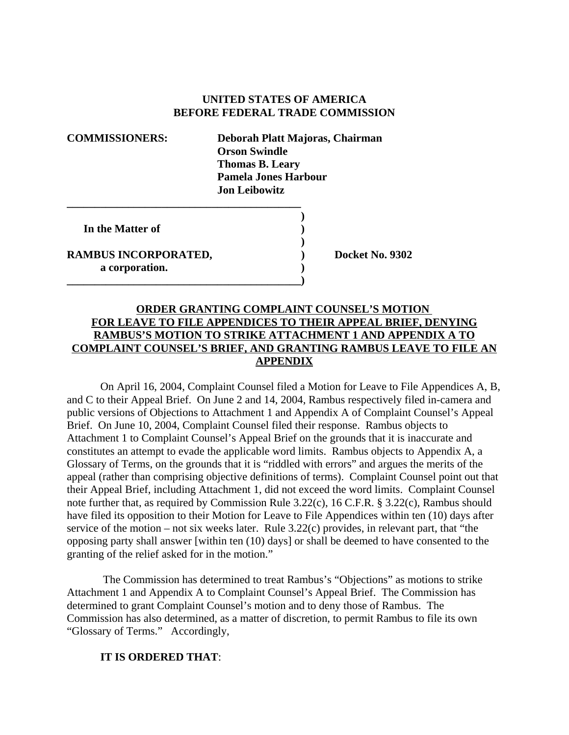## **UNITED STATES OF AMERICA BEFORE FEDERAL TRADE COMMISSION**

**COMMISSIONERS: Deborah Platt Majoras, Chairman Orson Swindle Thomas B. Leary Pamela Jones Harbour Jon Leibowitz \_\_\_\_\_\_\_\_\_\_\_\_\_\_\_\_\_\_\_\_\_\_\_\_\_\_\_\_\_\_\_\_\_\_\_\_\_\_\_\_\_\_ ) In the Matter of ) )**

**RAMBUS INCORPORATED, Docket No. 9302 a corporation. )**

**\_\_\_\_\_\_\_\_\_\_\_\_\_\_\_\_\_\_\_\_\_\_\_\_\_\_\_\_\_\_\_\_\_\_\_\_\_\_\_\_\_\_)**

## **ORDER GRANTING COMPLAINT COUNSEL'S MOTION FOR LEAVE TO FILE APPENDICES TO THEIR APPEAL BRIEF, DENYING RAMBUS'S MOTION TO STRIKE ATTACHMENT 1 AND APPENDIX A TO COMPLAINT COUNSEL'S BRIEF, AND GRANTING RAMBUS LEAVE TO FILE AN APPENDIX**

On April 16, 2004, Complaint Counsel filed a Motion for Leave to File Appendices A, B, and C to their Appeal Brief. On June 2 and 14, 2004, Rambus respectively filed in-camera and public versions of Objections to Attachment 1 and Appendix A of Complaint Counsel's Appeal Brief. On June 10, 2004, Complaint Counsel filed their response. Rambus objects to Attachment 1 to Complaint Counsel's Appeal Brief on the grounds that it is inaccurate and constitutes an attempt to evade the applicable word limits. Rambus objects to Appendix A, a Glossary of Terms, on the grounds that it is "riddled with errors" and argues the merits of the appeal (rather than comprising objective definitions of terms). Complaint Counsel point out that their Appeal Brief, including Attachment 1, did not exceed the word limits. Complaint Counsel note further that, as required by Commission Rule 3.22(c), 16 C.F.R. § 3.22(c), Rambus should have filed its opposition to their Motion for Leave to File Appendices within ten (10) days after service of the motion – not six weeks later. Rule 3.22(c) provides, in relevant part, that "the opposing party shall answer [within ten (10) days] or shall be deemed to have consented to the granting of the relief asked for in the motion."

 The Commission has determined to treat Rambus's "Objections" as motions to strike Attachment 1 and Appendix A to Complaint Counsel's Appeal Brief. The Commission has determined to grant Complaint Counsel's motion and to deny those of Rambus. The Commission has also determined, as a matter of discretion, to permit Rambus to file its own "Glossary of Terms." Accordingly,

## **IT IS ORDERED THAT**: